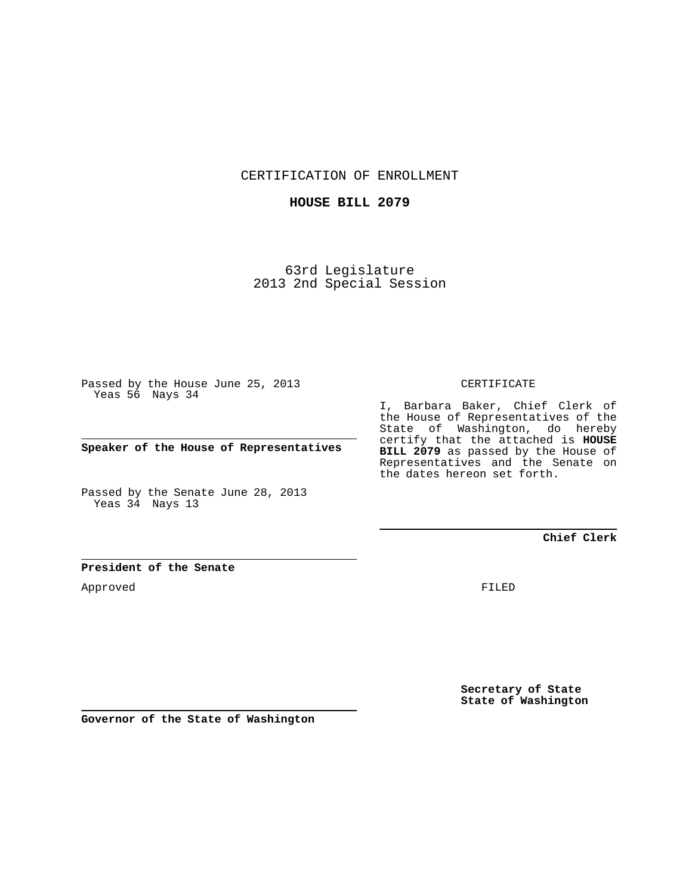CERTIFICATION OF ENROLLMENT

## **HOUSE BILL 2079**

63rd Legislature 2013 2nd Special Session

Passed by the House June 25, 2013 Yeas 56 Nays 34

**Speaker of the House of Representatives**

Passed by the Senate June 28, 2013 Yeas 34 Nays 13

## CERTIFICATE

I, Barbara Baker, Chief Clerk of the House of Representatives of the State of Washington, do hereby certify that the attached is **HOUSE BILL 2079** as passed by the House of Representatives and the Senate on the dates hereon set forth.

**Chief Clerk**

## **President of the Senate**

Approved

FILED

**Secretary of State State of Washington**

**Governor of the State of Washington**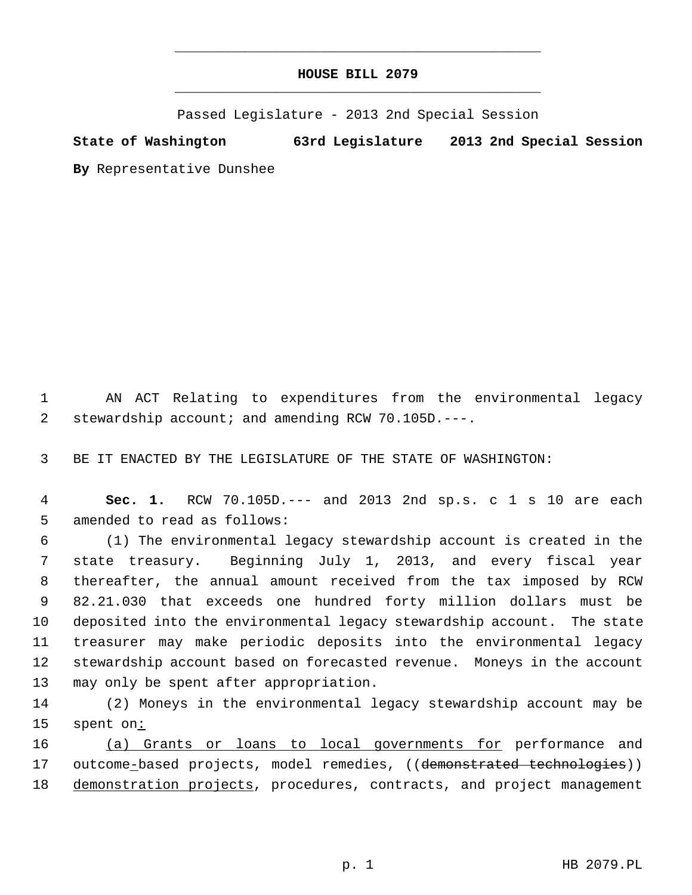## **HOUSE BILL 2079** \_\_\_\_\_\_\_\_\_\_\_\_\_\_\_\_\_\_\_\_\_\_\_\_\_\_\_\_\_\_\_\_\_\_\_\_\_\_\_\_\_\_\_\_\_

\_\_\_\_\_\_\_\_\_\_\_\_\_\_\_\_\_\_\_\_\_\_\_\_\_\_\_\_\_\_\_\_\_\_\_\_\_\_\_\_\_\_\_\_\_

Passed Legislature - 2013 2nd Special Session

**State of Washington 63rd Legislature 2013 2nd Special Session By** Representative Dunshee

 1 AN ACT Relating to expenditures from the environmental legacy 2 stewardship account; and amending RCW 70.105D.---.

3 BE IT ENACTED BY THE LEGISLATURE OF THE STATE OF WASHINGTON:

 4 **Sec. 1.** RCW 70.105D.--- and 2013 2nd sp.s. c 1 s 10 are each 5 amended to read as follows:

 6 (1) The environmental legacy stewardship account is created in the 7 state treasury. Beginning July 1, 2013, and every fiscal year 8 thereafter, the annual amount received from the tax imposed by RCW 9 82.21.030 that exceeds one hundred forty million dollars must be 10 deposited into the environmental legacy stewardship account. The state 11 treasurer may make periodic deposits into the environmental legacy 12 stewardship account based on forecasted revenue. Moneys in the account 13 may only be spent after appropriation.

14 (2) Moneys in the environmental legacy stewardship account may be 15 spent on:

16 (a) Grants or loans to local governments for performance and 17 outcome-based projects, model remedies, ((demonstrated technologies)) 18 demonstration projects, procedures, contracts, and project management